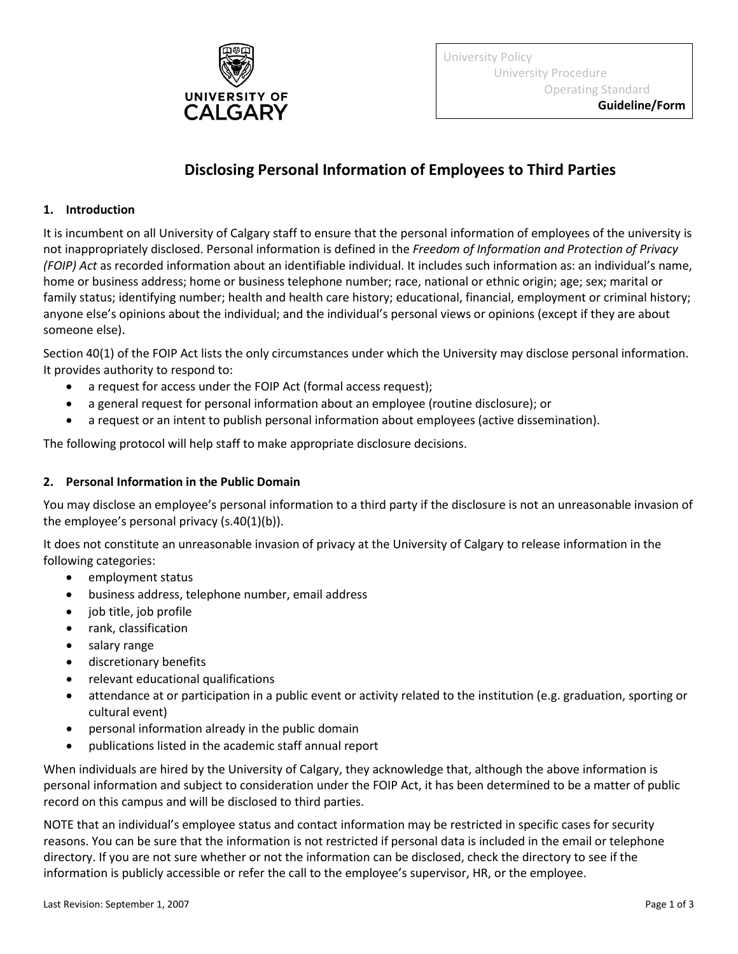

University Policy University Procedure Operating Standard

**Guideline/Form**

# **Disclosing Personal Information of Employees to Third Parties**

## **1. Introduction**

It is incumbent on all University of Calgary staff to ensure that the personal information of employees of the university is not inappropriately disclosed. Personal information is defined in the *Freedom of Information and Protection of Privacy (FOIP) Act* as recorded information about an identifiable individual. It includes such information as: an individual's name, home or business address; home or business telephone number; race, national or ethnic origin; age; sex; marital or family status; identifying number; health and health care history; educational, financial, employment or criminal history; anyone else's opinions about the individual; and the individual's personal views or opinions (except if they are about someone else).

Section 40(1) of the FOIP Act lists the only circumstances under which the University may disclose personal information. It provides authority to respond to:

- a request for access under the FOIP Act (formal access request);
- a general request for personal information about an employee (routine disclosure); or
- a request or an intent to publish personal information about employees (active dissemination).

The following protocol will help staff to make appropriate disclosure decisions.

#### **2. Personal Information in the Public Domain**

You may disclose an employee's personal information to a third party if the disclosure is not an unreasonable invasion of the employee's personal privacy (s.40(1)(b)).

It does not constitute an unreasonable invasion of privacy at the University of Calgary to release information in the following categories:

- employment status
- business address, telephone number, email address
- job title, job profile
- rank, classification
- salary range
- discretionary benefits
- relevant educational qualifications
- attendance at or participation in a public event or activity related to the institution (e.g. graduation, sporting or cultural event)
- personal information already in the public domain
- publications listed in the academic staff annual report

When individuals are hired by the University of Calgary, they acknowledge that, although the above information is personal information and subject to consideration under the FOIP Act, it has been determined to be a matter of public record on this campus and will be disclosed to third parties.

NOTE that an individual's employee status and contact information may be restricted in specific cases for security reasons. You can be sure that the information is not restricted if personal data is included in the email or telephone directory. If you are not sure whether or not the information can be disclosed, check the directory to see if the information is publicly accessible or refer the call to the employee's supervisor, HR, or the employee.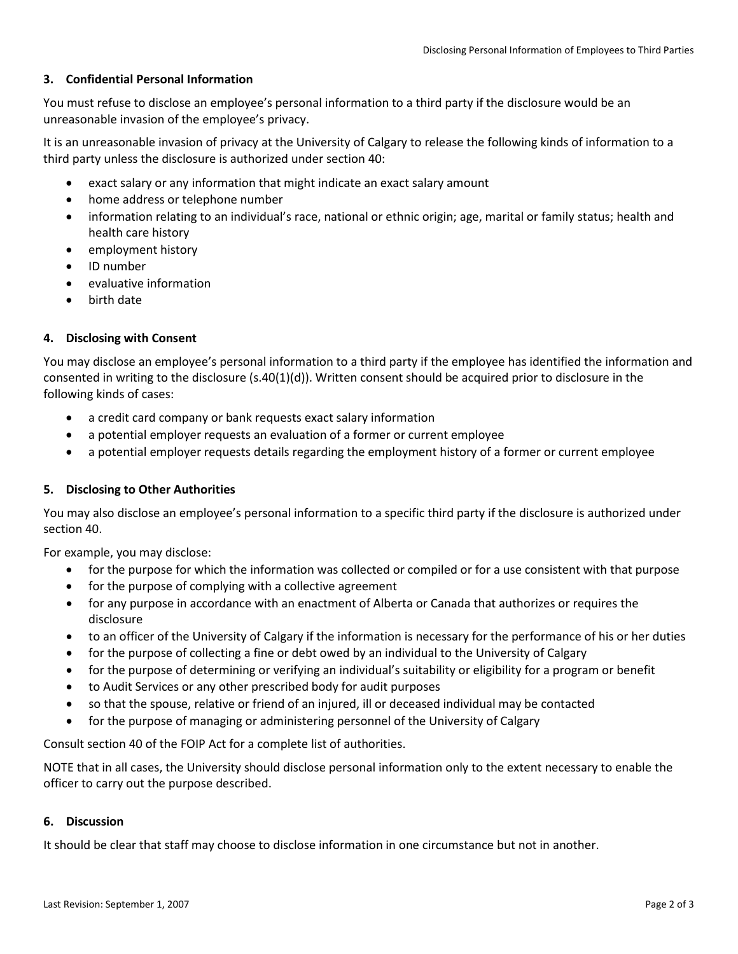# **3. Confidential Personal Information**

You must refuse to disclose an employee's personal information to a third party if the disclosure would be an unreasonable invasion of the employee's privacy.

It is an unreasonable invasion of privacy at the University of Calgary to release the following kinds of information to a third party unless the disclosure is authorized under section 40:

- exact salary or any information that might indicate an exact salary amount
- home address or telephone number
- information relating to an individual's race, national or ethnic origin; age, marital or family status; health and health care history
- employment history
- ID number
- evaluative information
- birth date

# **4. Disclosing with Consent**

You may disclose an employee's personal information to a third party if the employee has identified the information and consented in writing to the disclosure (s.40(1)(d)). Written consent should be acquired prior to disclosure in the following kinds of cases:

- a credit card company or bank requests exact salary information
- a potential employer requests an evaluation of a former or current employee
- a potential employer requests details regarding the employment history of a former or current employee

#### **5. Disclosing to Other Authorities**

You may also disclose an employee's personal information to a specific third party if the disclosure is authorized under section 40.

For example, you may disclose:

- for the purpose for which the information was collected or compiled or for a use consistent with that purpose
- for the purpose of complying with a collective agreement
- for any purpose in accordance with an enactment of Alberta or Canada that authorizes or requires the disclosure
- to an officer of the University of Calgary if the information is necessary for the performance of his or her duties
- for the purpose of collecting a fine or debt owed by an individual to the University of Calgary
- for the purpose of determining or verifying an individual's suitability or eligibility for a program or benefit
- to Audit Services or any other prescribed body for audit purposes
- so that the spouse, relative or friend of an injured, ill or deceased individual may be contacted
- for the purpose of managing or administering personnel of the University of Calgary

Consult section 40 of the FOIP Act for a complete list of authorities.

NOTE that in all cases, the University should disclose personal information only to the extent necessary to enable the officer to carry out the purpose described.

#### **6. Discussion**

It should be clear that staff may choose to disclose information in one circumstance but not in another.